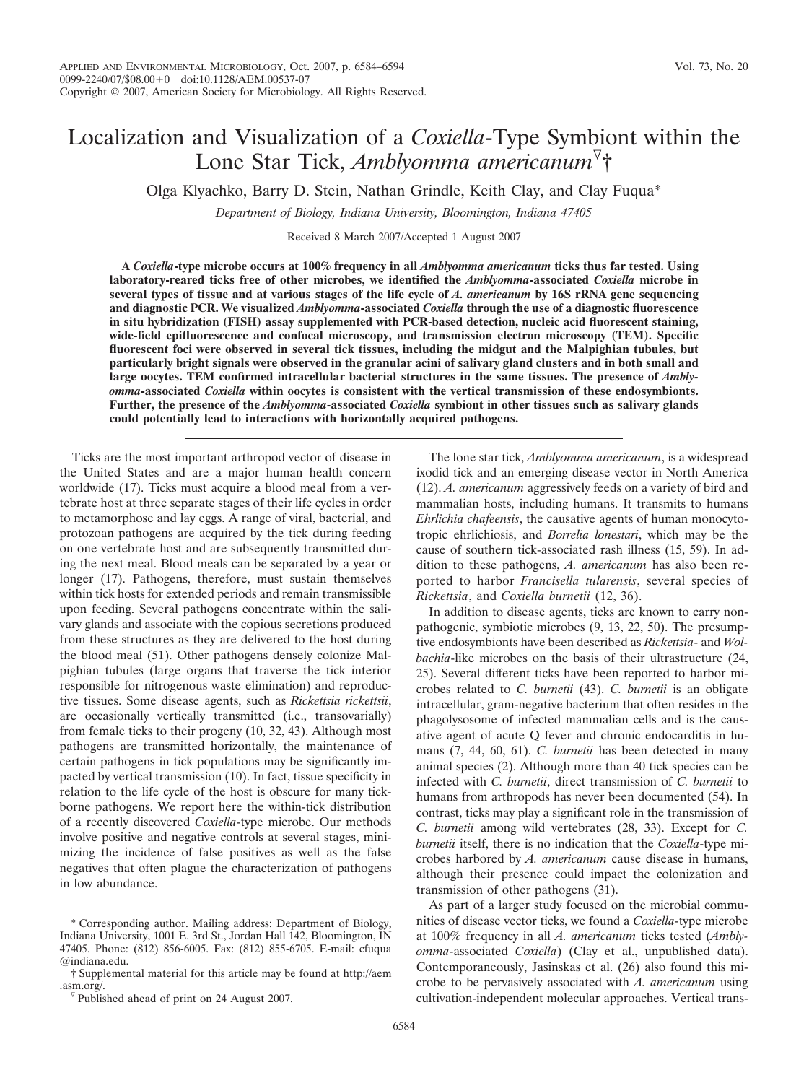# Localization and Visualization of a *Coxiella*-Type Symbiont within the Lone Star Tick, *Amblyomma americanum* †

Olga Klyachko, Barry D. Stein, Nathan Grindle, Keith Clay, and Clay Fuqua\*

*Department of Biology, Indiana University, Bloomington, Indiana 47405*

Received 8 March 2007/Accepted 1 August 2007

**A** *Coxiella***-type microbe occurs at 100% frequency in all** *Amblyomma americanum* **ticks thus far tested. Using laboratory-reared ticks free of other microbes, we identified the** *Amblyomma***-associated** *Coxiella* **microbe in several types of tissue and at various stages of the life cycle of** *A. americanum* **by 16S rRNA gene sequencing and diagnostic PCR. We visualized** *Amblyomma***-associated** *Coxiella* **through the use of a diagnostic fluorescence in situ hybridization (FISH) assay supplemented with PCR-based detection, nucleic acid fluorescent staining, wide-field epifluorescence and confocal microscopy, and transmission electron microscopy (TEM). Specific fluorescent foci were observed in several tick tissues, including the midgut and the Malpighian tubules, but particularly bright signals were observed in the granular acini of salivary gland clusters and in both small and large oocytes. TEM confirmed intracellular bacterial structures in the same tissues. The presence of** *Amblyomma***-associated** *Coxiella* **within oocytes is consistent with the vertical transmission of these endosymbionts. Further, the presence of the** *Amblyomma***-associated** *Coxiella* **symbiont in other tissues such as salivary glands could potentially lead to interactions with horizontally acquired pathogens.**

Ticks are the most important arthropod vector of disease in the United States and are a major human health concern worldwide (17). Ticks must acquire a blood meal from a vertebrate host at three separate stages of their life cycles in order to metamorphose and lay eggs. A range of viral, bacterial, and protozoan pathogens are acquired by the tick during feeding on one vertebrate host and are subsequently transmitted during the next meal. Blood meals can be separated by a year or longer (17). Pathogens, therefore, must sustain themselves within tick hosts for extended periods and remain transmissible upon feeding. Several pathogens concentrate within the salivary glands and associate with the copious secretions produced from these structures as they are delivered to the host during the blood meal (51). Other pathogens densely colonize Malpighian tubules (large organs that traverse the tick interior responsible for nitrogenous waste elimination) and reproductive tissues. Some disease agents, such as *Rickettsia rickettsii*, are occasionally vertically transmitted (i.e., transovarially) from female ticks to their progeny (10, 32, 43). Although most pathogens are transmitted horizontally, the maintenance of certain pathogens in tick populations may be significantly impacted by vertical transmission (10). In fact, tissue specificity in relation to the life cycle of the host is obscure for many tickborne pathogens. We report here the within-tick distribution of a recently discovered *Coxiella*-type microbe. Our methods involve positive and negative controls at several stages, minimizing the incidence of false positives as well as the false negatives that often plague the characterization of pathogens in low abundance.

\* Corresponding author. Mailing address: Department of Biology, Indiana University, 1001 E. 3rd St., Jordan Hall 142, Bloomington, IN 47405. Phone: (812) 856-6005. Fax: (812) 855-6705. E-mail: cfuqua @indiana.edu.

† Supplemental material for this article may be found at http://aem .asm.org/.  $\nabla$  Published ahead of print on 24 August 2007.

The lone star tick, *Amblyomma americanum*, is a widespread ixodid tick and an emerging disease vector in North America (12). *A. americanum* aggressively feeds on a variety of bird and mammalian hosts, including humans. It transmits to humans *Ehrlichia chafeensis*, the causative agents of human monocytotropic ehrlichiosis, and *Borrelia lonestari*, which may be the cause of southern tick-associated rash illness (15, 59). In addition to these pathogens, *A. americanum* has also been reported to harbor *Francisella tularensis*, several species of *Rickettsia*, and *Coxiella burnetii* (12, 36).

In addition to disease agents, ticks are known to carry nonpathogenic, symbiotic microbes (9, 13, 22, 50). The presumptive endosymbionts have been described as *Rickettsia*- and *Wolbachia*-like microbes on the basis of their ultrastructure (24, 25). Several different ticks have been reported to harbor microbes related to *C. burnetii* (43). *C. burnetii* is an obligate intracellular, gram-negative bacterium that often resides in the phagolysosome of infected mammalian cells and is the causative agent of acute Q fever and chronic endocarditis in humans (7, 44, 60, 61). *C. burnetii* has been detected in many animal species (2). Although more than 40 tick species can be infected with *C. burnetii*, direct transmission of *C. burnetii* to humans from arthropods has never been documented (54). In contrast, ticks may play a significant role in the transmission of *C. burnetii* among wild vertebrates (28, 33). Except for *C. burnetii* itself, there is no indication that the *Coxiella*-type microbes harbored by *A. americanum* cause disease in humans, although their presence could impact the colonization and transmission of other pathogens (31).

As part of a larger study focused on the microbial communities of disease vector ticks, we found a *Coxiella*-type microbe at 100% frequency in all *A. americanum* ticks tested (*Amblyomma*-associated *Coxiella*) (Clay et al., unpublished data). Contemporaneously, Jasinskas et al. (26) also found this microbe to be pervasively associated with *A. americanum* using cultivation-independent molecular approaches. Vertical trans-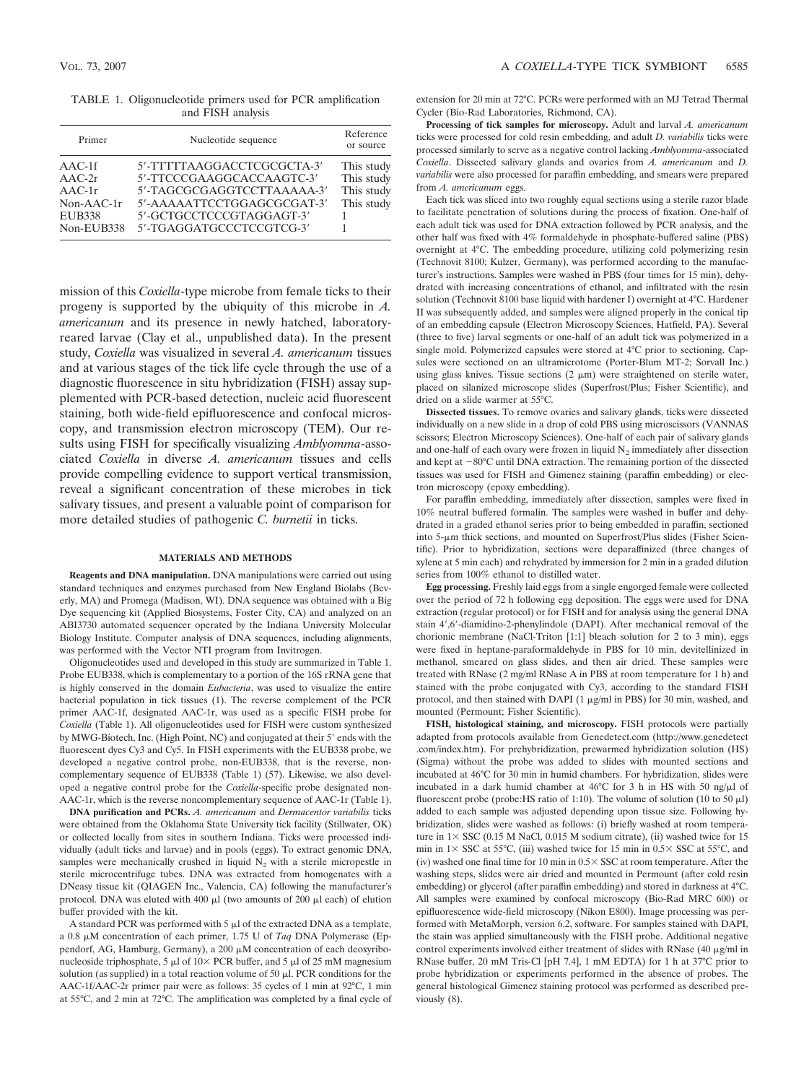TABLE 1. Oligonucleotide primers used for PCR amplification and FISH analysis

| Primer                                                                        | Nucleotide sequence                                                                                                                                                         | Reference<br>or source                               |  |
|-------------------------------------------------------------------------------|-----------------------------------------------------------------------------------------------------------------------------------------------------------------------------|------------------------------------------------------|--|
| $AAC-1f$<br>$AAC-2r$<br>$AAC-1r$<br>Non-AAC-1r<br><b>EUB338</b><br>Non-EUB338 | 5'-TTTTTAAGGACCTCGCGCTA-3'<br>5'-TTCCCGAAGGCACCAAGTC-3'<br>5'-TAGCGCGAGGTCCTTAAAAA-3'<br>5'-AAAAATTCCTGGAGCGCGAT-3'<br>5'-GCTGCCTCCCGTAGGAGT-3'<br>5'-TGAGGATGCCCTCCGTCG-3' | This study<br>This study<br>This study<br>This study |  |

mission of this *Coxiella*-type microbe from female ticks to their progeny is supported by the ubiquity of this microbe in *A. americanum* and its presence in newly hatched, laboratoryreared larvae (Clay et al., unpublished data). In the present study, *Coxiella* was visualized in several *A. americanum* tissues and at various stages of the tick life cycle through the use of a diagnostic fluorescence in situ hybridization (FISH) assay supplemented with PCR-based detection, nucleic acid fluorescent staining, both wide-field epifluorescence and confocal microscopy, and transmission electron microscopy (TEM). Our results using FISH for specifically visualizing *Amblyomma*-associated *Coxiella* in diverse *A. americanum* tissues and cells provide compelling evidence to support vertical transmission, reveal a significant concentration of these microbes in tick salivary tissues, and present a valuable point of comparison for more detailed studies of pathogenic *C. burnetii* in ticks.

#### **MATERIALS AND METHODS**

**Reagents and DNA manipulation.** DNA manipulations were carried out using standard techniques and enzymes purchased from New England Biolabs (Beverly, MA) and Promega (Madison, WI). DNA sequence was obtained with a Big Dye sequencing kit (Applied Biosystems, Foster City, CA) and analyzed on an ABI3730 automated sequencer operated by the Indiana University Molecular Biology Institute. Computer analysis of DNA sequences, including alignments, was performed with the Vector NTI program from Invitrogen.

Oligonucleotides used and developed in this study are summarized in Table 1. Probe EUB338, which is complementary to a portion of the 16S rRNA gene that is highly conserved in the domain *Eubacteria*, was used to visualize the entire bacterial population in tick tissues (1). The reverse complement of the PCR primer AAC-1f, designated AAC-1r, was used as a specific FISH probe for *Coxiella* (Table 1). All oligonucleotides used for FISH were custom synthesized by MWG-Biotech, Inc. (High Point, NC) and conjugated at their 5' ends with the fluorescent dyes Cy3 and Cy5. In FISH experiments with the EUB338 probe, we developed a negative control probe, non-EUB338, that is the reverse, noncomplementary sequence of EUB338 (Table 1) (57). Likewise, we also developed a negative control probe for the *Coxiella*-specific probe designated non-AAC-1r, which is the reverse noncomplementary sequence of AAC-1r (Table 1).

**DNA purification and PCRs.** *A. americanum* and *Dermacentor variabilis* ticks were obtained from the Oklahoma State University tick facility (Stillwater, OK) or collected locally from sites in southern Indiana. Ticks were processed individually (adult ticks and larvae) and in pools (eggs). To extract genomic DNA, samples were mechanically crushed in liquid  $N_2$  with a sterile micropestle in sterile microcentrifuge tubes. DNA was extracted from homogenates with a DNeasy tissue kit (QIAGEN Inc., Valencia, CA) following the manufacturer's protocol. DNA was eluted with 400  $\mu$ l (two amounts of 200  $\mu$ l each) of elution buffer provided with the kit.

A standard PCR was performed with  $5 \mu$  of the extracted DNA as a template, a 0.8 M concentration of each primer, 1.75 U of *Taq* DNA Polymerase (Eppendorf, AG, Hamburg, Germany), a 200  $\mu$ M concentration of each deoxyribonucleoside triphosphate, 5  $\mu$ l of 10 × PCR buffer, and 5  $\mu$ l of 25 mM magnesium solution (as supplied) in a total reaction volume of 50  $\mu$ l. PCR conditions for the AAC-1f/AAC-2r primer pair were as follows: 35 cycles of 1 min at 92°C, 1 min at 55°C, and 2 min at 72°C. The amplification was completed by a final cycle of extension for 20 min at 72°C. PCRs were performed with an MJ Tetrad Thermal Cycler (Bio-Rad Laboratories, Richmond, CA).

**Processing of tick samples for microscopy.** Adult and larval *A. americanum* ticks were processed for cold resin embedding, and adult *D. variabilis* ticks were processed similarly to serve as a negative control lacking *Amblyomma*-associated *Coxiella*. Dissected salivary glands and ovaries from *A. americanum* and *D. variabilis* were also processed for paraffin embedding, and smears were prepared from *A. americanum* eggs.

Each tick was sliced into two roughly equal sections using a sterile razor blade to facilitate penetration of solutions during the process of fixation. One-half of each adult tick was used for DNA extraction followed by PCR analysis, and the other half was fixed with 4% formaldehyde in phosphate-buffered saline (PBS) overnight at 4°C. The embedding procedure, utilizing cold polymerizing resin (Technovit 8100; Kulzer, Germany), was performed according to the manufacturer's instructions. Samples were washed in PBS (four times for 15 min), dehydrated with increasing concentrations of ethanol, and infiltrated with the resin solution (Technovit 8100 base liquid with hardener I) overnight at 4°C. Hardener II was subsequently added, and samples were aligned properly in the conical tip of an embedding capsule (Electron Microscopy Sciences, Hatfield, PA). Several (three to five) larval segments or one-half of an adult tick was polymerized in a single mold. Polymerized capsules were stored at 4°C prior to sectioning. Capsules were sectioned on an ultramicrotome (Porter-Blum MT-2; Sorvall Inc.) using glass knives. Tissue sections  $(2 \mu m)$  were straightened on sterile water, placed on silanized microscope slides (Superfrost/Plus; Fisher Scientific), and dried on a slide warmer at 55°C.

**Dissected tissues.** To remove ovaries and salivary glands, ticks were dissected individually on a new slide in a drop of cold PBS using microscissors (VANNAS scissors; Electron Microscopy Sciences). One-half of each pair of salivary glands and one-half of each ovary were frozen in liquid  $N_2$  immediately after dissection and kept at  $-80^{\circ}$ C until DNA extraction. The remaining portion of the dissected tissues was used for FISH and Gimenez staining (paraffin embedding) or electron microscopy (epoxy embedding).

For paraffin embedding, immediately after dissection, samples were fixed in 10% neutral buffered formalin. The samples were washed in buffer and dehydrated in a graded ethanol series prior to being embedded in paraffin, sectioned into 5-µm thick sections, and mounted on Superfrost/Plus slides (Fisher Scientific). Prior to hybridization, sections were deparaffinized (three changes of xylene at 5 min each) and rehydrated by immersion for 2 min in a graded dilution series from 100% ethanol to distilled water.

**Egg processing.** Freshly laid eggs from a single engorged female were collected over the period of 72 h following egg deposition. The eggs were used for DNA extraction (regular protocol) or for FISH and for analysis using the general DNA stain 4',6'-diamidino-2-phenylindole (DAPI). After mechanical removal of the chorionic membrane (NaCl-Triton [1:1] bleach solution for 2 to 3 min), eggs were fixed in heptane-paraformaldehyde in PBS for 10 min, devitellinized in methanol, smeared on glass slides, and then air dried. These samples were treated with RNase (2 mg/ml RNase A in PBS at room temperature for 1 h) and stained with the probe conjugated with Cy3, according to the standard FISH protocol, and then stained with DAPI (1  $\mu$ g/ml in PBS) for 30 min, washed, and mounted (Permount; Fisher Scientific).

**FISH, histological staining, and microscopy.** FISH protocols were partially adapted from protocols available from Genedetect.com (http://www.genedetect .com/index.htm). For prehybridization, prewarmed hybridization solution (HS) (Sigma) without the probe was added to slides with mounted sections and incubated at 46°C for 30 min in humid chambers. For hybridization, slides were incubated in a dark humid chamber at  $46^{\circ}$ C for 3 h in HS with 50 ng/ $\mu$ l of fluorescent probe (probe: HS ratio of 1:10). The volume of solution (10 to 50  $\mu$ l) added to each sample was adjusted depending upon tissue size. Following hybridization, slides were washed as follows: (i) briefly washed at room temperature in  $1 \times$  SSC (0.15 M NaCl, 0.015 M sodium citrate), (ii) washed twice for 15 min in  $1 \times$  SSC at 55°C, (iii) washed twice for 15 min in 0.5 $\times$  SSC at 55°C, and (iv) washed one final time for 10 min in  $0.5 \times$  SSC at room temperature. After the washing steps, slides were air dried and mounted in Permount (after cold resin embedding) or glycerol (after paraffin embedding) and stored in darkness at 4°C. All samples were examined by confocal microscopy (Bio-Rad MRC 600) or epifluorescence wide-field microscopy (Nikon E800). Image processing was performed with MetaMorph, version 6.2, software. For samples stained with DAPI, the stain was applied simultaneously with the FISH probe. Additional negative control experiments involved either treatment of slides with RNase  $(40 \mu g/ml$  in RNase buffer, 20 mM Tris-Cl [pH 7.4], 1 mM EDTA) for 1 h at 37°C prior to probe hybridization or experiments performed in the absence of probes. The general histological Gimenez staining protocol was performed as described previously (8).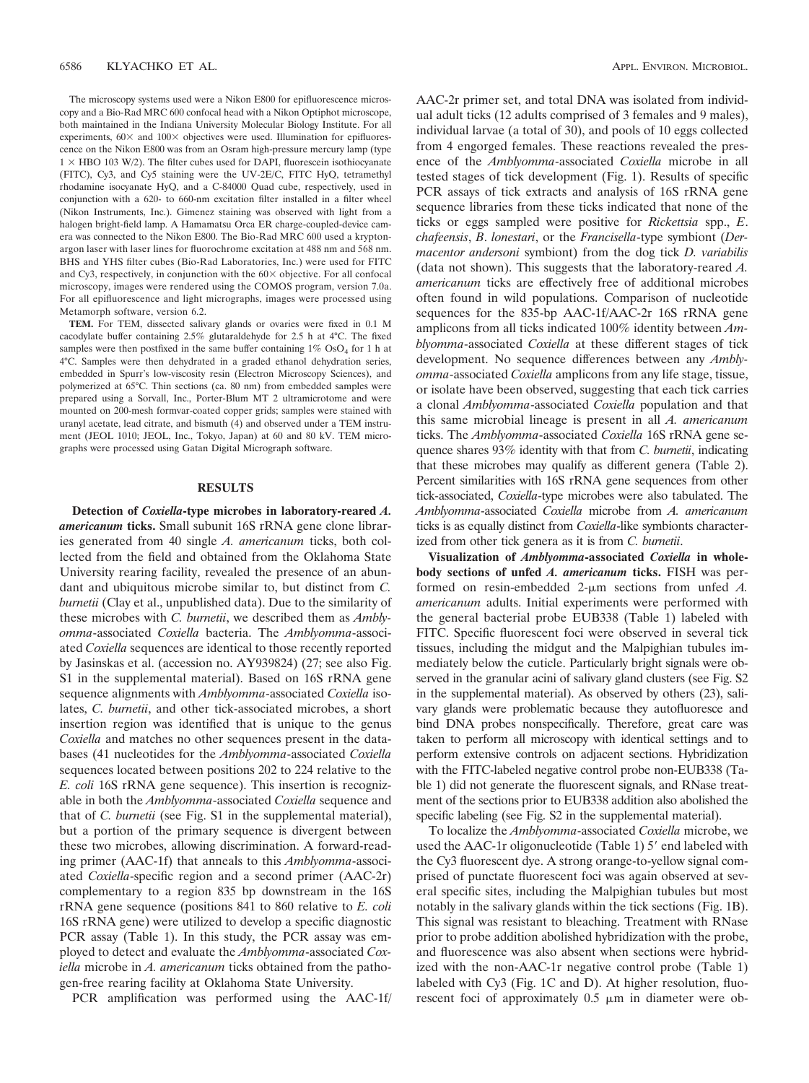The microscopy systems used were a Nikon E800 for epifluorescence microscopy and a Bio-Rad MRC 600 confocal head with a Nikon Optiphot microscope, both maintained in the Indiana University Molecular Biology Institute. For all experiments,  $60 \times$  and  $100 \times$  objectives were used. Illumination for epifluorescence on the Nikon E800 was from an Osram high-pressure mercury lamp (type  $1 \times$  HBO 103 W/2). The filter cubes used for DAPI, fluorescein isothiocyanate (FITC), Cy3, and Cy5 staining were the UV-2E/C, FITC HyQ, tetramethyl rhodamine isocyanate HyQ, and a C-84000 Quad cube, respectively, used in conjunction with a 620- to 660-nm excitation filter installed in a filter wheel (Nikon Instruments, Inc.). Gimenez staining was observed with light from a halogen bright-field lamp. A Hamamatsu Orca ER charge-coupled-device camera was connected to the Nikon E800. The Bio-Rad MRC 600 used a kryptonargon laser with laser lines for fluorochrome excitation at 488 nm and 568 nm. BHS and YHS filter cubes (Bio-Rad Laboratories, Inc.) were used for FITC and Cy3, respectively, in conjunction with the  $60\times$  objective. For all confocal microscopy, images were rendered using the COMOS program, version 7.0a. For all epifluorescence and light micrographs, images were processed using Metamorph software, version 6.2.

**TEM.** For TEM, dissected salivary glands or ovaries were fixed in 0.1 M cacodylate buffer containing 2.5% glutaraldehyde for 2.5 h at 4°C. The fixed samples were then postfixed in the same buffer containing  $1\%$  OsO<sub>4</sub> for 1 h at 4°C. Samples were then dehydrated in a graded ethanol dehydration series, embedded in Spurr's low-viscosity resin (Electron Microscopy Sciences), and polymerized at 65°C. Thin sections (ca. 80 nm) from embedded samples were prepared using a Sorvall, Inc., Porter-Blum MT 2 ultramicrotome and were mounted on 200-mesh formvar-coated copper grids; samples were stained with uranyl acetate, lead citrate, and bismuth  $\hat{A}$  and observed under a TEM instrument (JEOL 1010; JEOL, Inc., Tokyo, Japan) at 60 and 80 kV. TEM micrographs were processed using Gatan Digital Micrograph software.

# **RESULTS**

**Detection of** *Coxiella***-type microbes in laboratory-reared** *A. americanum* **ticks.** Small subunit 16S rRNA gene clone libraries generated from 40 single *A. americanum* ticks, both collected from the field and obtained from the Oklahoma State University rearing facility, revealed the presence of an abundant and ubiquitous microbe similar to, but distinct from *C. burnetii* (Clay et al., unpublished data). Due to the similarity of these microbes with *C. burnetii*, we described them as *Amblyomma*-associated *Coxiella* bacteria. The *Amblyomma*-associated *Coxiella* sequences are identical to those recently reported by Jasinskas et al. (accession no. AY939824) (27; see also Fig. S1 in the supplemental material). Based on 16S rRNA gene sequence alignments with *Amblyomma*-associated *Coxiella* isolates, *C. burnetii*, and other tick-associated microbes, a short insertion region was identified that is unique to the genus *Coxiella* and matches no other sequences present in the databases (41 nucleotides for the *Amblyomma*-associated *Coxiella* sequences located between positions 202 to 224 relative to the *E. coli* 16S rRNA gene sequence). This insertion is recognizable in both the *Amblyomma*-associated *Coxiella* sequence and that of *C. burnetii* (see Fig. S1 in the supplemental material), but a portion of the primary sequence is divergent between these two microbes, allowing discrimination. A forward-reading primer (AAC-1f) that anneals to this *Amblyomma*-associated *Coxiella*-specific region and a second primer (AAC-2r) complementary to a region 835 bp downstream in the 16S rRNA gene sequence (positions 841 to 860 relative to *E. coli* 16S rRNA gene) were utilized to develop a specific diagnostic PCR assay (Table 1). In this study, the PCR assay was employed to detect and evaluate the *Amblyomma*-associated *Coxiella* microbe in *A. americanum* ticks obtained from the pathogen-free rearing facility at Oklahoma State University.

PCR amplification was performed using the AAC-1f/

AAC-2r primer set, and total DNA was isolated from individual adult ticks (12 adults comprised of 3 females and 9 males), individual larvae (a total of 30), and pools of 10 eggs collected from 4 engorged females. These reactions revealed the presence of the *Amblyomma*-associated *Coxiella* microbe in all tested stages of tick development (Fig. 1). Results of specific PCR assays of tick extracts and analysis of 16S rRNA gene sequence libraries from these ticks indicated that none of the ticks or eggs sampled were positive for *Rickettsia* spp., *E*. *chafeensis*, *B*. *lonestari*, or the *Francisella*-type symbiont (*Dermacentor andersoni* symbiont) from the dog tick *D. variabilis* (data not shown). This suggests that the laboratory-reared *A. americanum* ticks are effectively free of additional microbes often found in wild populations. Comparison of nucleotide sequences for the 835-bp AAC-1f/AAC-2r 16S rRNA gene amplicons from all ticks indicated 100% identity between *Amblyomma*-associated *Coxiella* at these different stages of tick development. No sequence differences between any *Amblyomma*-associated *Coxiella* amplicons from any life stage, tissue, or isolate have been observed, suggesting that each tick carries a clonal *Amblyomma*-associated *Coxiella* population and that this same microbial lineage is present in all *A. americanum* ticks. The *Amblyomma*-associated *Coxiella* 16S rRNA gene sequence shares 93% identity with that from *C. burnetii*, indicating that these microbes may qualify as different genera (Table 2). Percent similarities with 16S rRNA gene sequences from other tick-associated, *Coxiella*-type microbes were also tabulated. The *Amblyomma*-associated *Coxiella* microbe from *A. americanum* ticks is as equally distinct from *Coxiella*-like symbionts characterized from other tick genera as it is from *C. burnetii*.

**Visualization of** *Amblyomma***-associated** *Coxiella* **in wholebody sections of unfed** *A. americanum* **ticks.** FISH was performed on resin-embedded 2- $\mu$ m sections from unfed *A*. *americanum* adults. Initial experiments were performed with the general bacterial probe EUB338 (Table 1) labeled with FITC. Specific fluorescent foci were observed in several tick tissues, including the midgut and the Malpighian tubules immediately below the cuticle. Particularly bright signals were observed in the granular acini of salivary gland clusters (see Fig. S2 in the supplemental material). As observed by others (23), salivary glands were problematic because they autofluoresce and bind DNA probes nonspecifically. Therefore, great care was taken to perform all microscopy with identical settings and to perform extensive controls on adjacent sections. Hybridization with the FITC-labeled negative control probe non-EUB338 (Table 1) did not generate the fluorescent signals, and RNase treatment of the sections prior to EUB338 addition also abolished the specific labeling (see Fig. S2 in the supplemental material).

To localize the *Amblyomma*-associated *Coxiella* microbe, we used the AAC-1r oligonucleotide (Table 1) 5' end labeled with the Cy3 fluorescent dye. A strong orange-to-yellow signal comprised of punctate fluorescent foci was again observed at several specific sites, including the Malpighian tubules but most notably in the salivary glands within the tick sections (Fig. 1B). This signal was resistant to bleaching. Treatment with RNase prior to probe addition abolished hybridization with the probe, and fluorescence was also absent when sections were hybridized with the non-AAC-1r negative control probe (Table 1) labeled with Cy3 (Fig. 1C and D). At higher resolution, fluorescent foci of approximately  $0.5 \mu m$  in diameter were ob-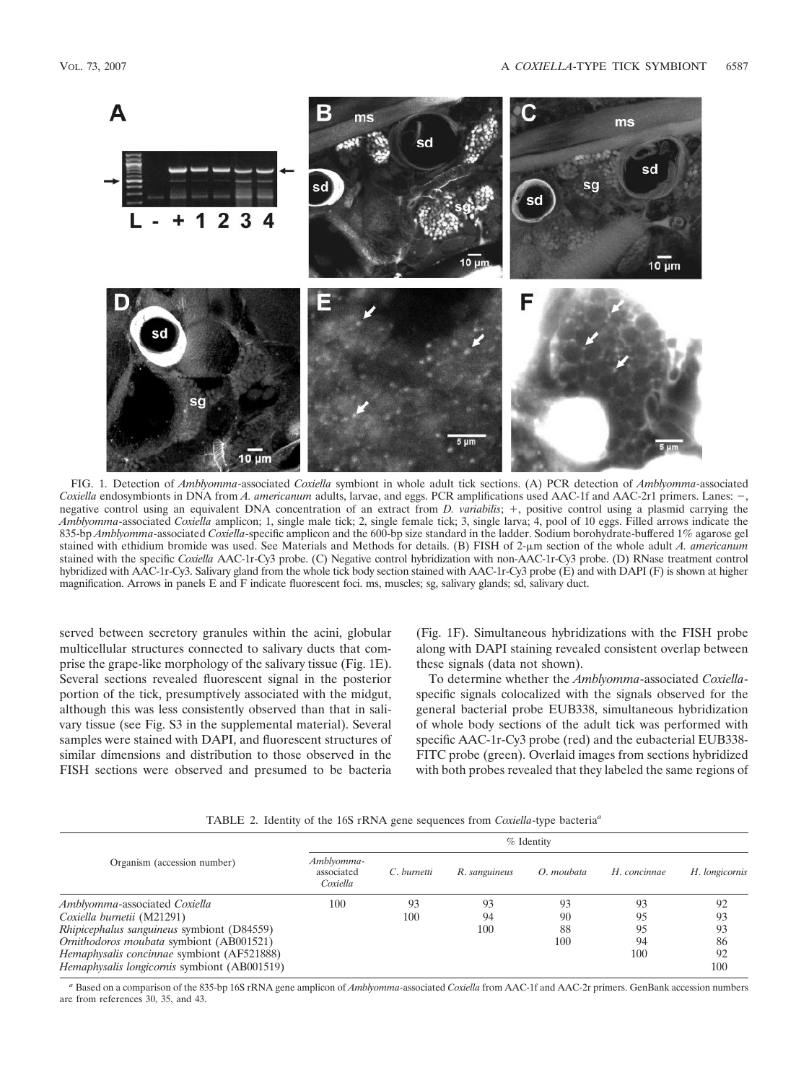

FIG. 1. Detection of *Amblyomma*-associated *Coxiella* symbiont in whole adult tick sections. (A) PCR detection of *Amblyomma*-associated *Coxiella* endosymbionts in DNA from *A. americanum* adults, larvae, and eggs. PCR amplifications used AAC-1f and AAC-2r1 primers. Lanes: -, negative control using an equivalent DNA concentration of an extract from *D. variabilis*; +, positive control using a plasmid carrying the *Amblyomma*-associated *Coxiella* amplicon; 1, single male tick; 2, single female tick; 3, single larva; 4, pool of 10 eggs. Filled arrows indicate the 835-bp *Amblyomma*-associated *Coxiella*-specific amplicon and the 600-bp size standard in the ladder. Sodium borohydrate-buffered 1% agarose gel stained with ethidium bromide was used. See Materials and Methods for details. (B) FISH of 2-µm section of the whole adult *A. americanum* stained with the specific *Coxiella* AAC-1r-Cy3 probe. (C) Negative control hybridization with non-AAC-1r-Cy3 probe. (D) RNase treatment control hybridized with AAC-1r-Cy3. Salivary gland from the whole tick body section stained with AAC-1r-Cy3 probe (E) and with DAPI (F) is shown at higher magnification. Arrows in panels E and F indicate fluorescent foci. ms, muscles; sg, salivary glands; sd, salivary duct.

served between secretory granules within the acini, globular multicellular structures connected to salivary ducts that comprise the grape-like morphology of the salivary tissue (Fig. 1E). Several sections revealed fluorescent signal in the posterior portion of the tick, presumptively associated with the midgut, although this was less consistently observed than that in salivary tissue (see Fig. S3 in the supplemental material). Several samples were stained with DAPI, and fluorescent structures of similar dimensions and distribution to those observed in the FISH sections were observed and presumed to be bacteria (Fig. 1F). Simultaneous hybridizations with the FISH probe along with DAPI staining revealed consistent overlap between these signals (data not shown).

To determine whether the *Amblyomma*-associated *Coxiella*specific signals colocalized with the signals observed for the general bacterial probe EUB338, simultaneous hybridization of whole body sections of the adult tick was performed with specific AAC-1r-Cy3 probe (red) and the eubacterial EUB338- FITC probe (green). Overlaid images from sections hybridized with both probes revealed that they labeled the same regions of

|  |  | TABLE 2. Identity of the 16S rRNA gene sequences from Coxiella-type bacteria <sup>a</sup> |  |
|--|--|-------------------------------------------------------------------------------------------|--|
|  |  |                                                                                           |  |

|                                                   | % Identity                           |             |               |            |              |                |  |  |
|---------------------------------------------------|--------------------------------------|-------------|---------------|------------|--------------|----------------|--|--|
| Organism (accession number)                       | Amblyomma-<br>associated<br>Coxiella | C. burnetti | R. sanguineus | O. moubata | H. concinnae | H. longicornis |  |  |
| Amblyomma-associated Coxiella                     | 100                                  | 93          | 93            | 93         | 93           | 92             |  |  |
| Coxiella burnetii (M21291)                        |                                      | 100         | 94            | 90         | 95           | 93             |  |  |
| <i>Rhipicephalus sanguineus symbiont (D84559)</i> |                                      |             | 100           | 88         | 95           | 93             |  |  |
| Ornithodoros moubata symbiont (AB001521)          |                                      |             |               | 100        | 94           | 86             |  |  |
| Hemaphysalis concinnae symbiont (AF521888)        |                                      |             |               |            | 100          | 92             |  |  |
| Hemaphysalis longicornis symbiont (AB001519)      |                                      |             |               |            |              | 100            |  |  |

*<sup>a</sup>* Based on a comparison of the 835-bp 16S rRNA gene amplicon of *Amblyomma*-associated *Coxiella* from AAC-1f and AAC-2r primers. GenBank accession numbers are from references 30, 35, and 43.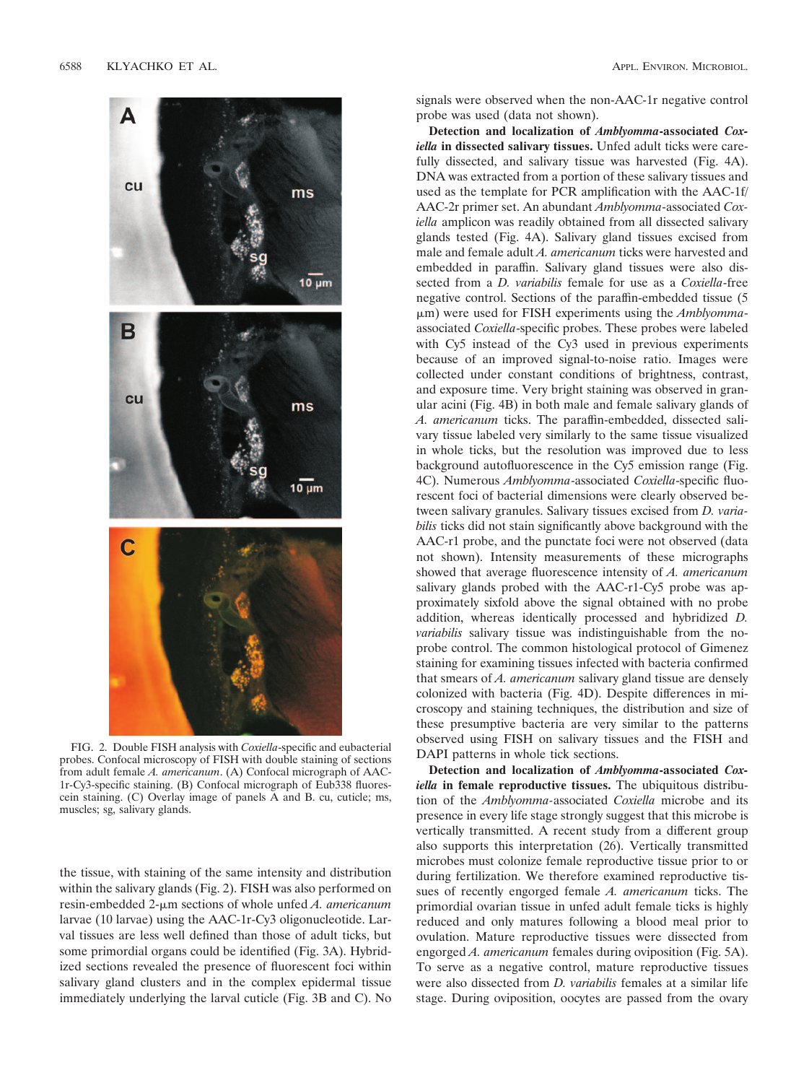

FIG. 2. Double FISH analysis with *Coxiella*-specific and eubacterial probes. Confocal microscopy of FISH with double staining of sections from adult female *A. americanum*. (A) Confocal micrograph of AAC-1r-Cy3-specific staining. (B) Confocal micrograph of Eub338 fluorescein staining. (C) Overlay image of panels A and B. cu, cuticle; ms, muscles; sg, salivary glands.

the tissue, with staining of the same intensity and distribution within the salivary glands (Fig. 2). FISH was also performed on resin-embedded 2-m sections of whole unfed *A. americanum* larvae (10 larvae) using the AAC-1r-Cy3 oligonucleotide. Larval tissues are less well defined than those of adult ticks, but some primordial organs could be identified (Fig. 3A). Hybridized sections revealed the presence of fluorescent foci within salivary gland clusters and in the complex epidermal tissue immediately underlying the larval cuticle (Fig. 3B and C). No

signals were observed when the non-AAC-1r negative control probe was used (data not shown).

**Detection and localization of** *Amblyomma***-associated** *Coxiella* **in dissected salivary tissues.** Unfed adult ticks were carefully dissected, and salivary tissue was harvested (Fig. 4A). DNA was extracted from a portion of these salivary tissues and used as the template for PCR amplification with the AAC-1f/ AAC-2r primer set. An abundant *Amblyomma*-associated *Coxiella* amplicon was readily obtained from all dissected salivary glands tested (Fig. 4A). Salivary gland tissues excised from male and female adult *A. americanum* ticks were harvested and embedded in paraffin. Salivary gland tissues were also dissected from a *D. variabilis* female for use as a *Coxiella*-free negative control. Sections of the paraffin-embedded tissue (5 m) were used for FISH experiments using the *Amblyomma*associated *Coxiella*-specific probes. These probes were labeled with Cy5 instead of the Cy3 used in previous experiments because of an improved signal-to-noise ratio. Images were collected under constant conditions of brightness, contrast, and exposure time. Very bright staining was observed in granular acini (Fig. 4B) in both male and female salivary glands of *A. americanum* ticks. The paraffin-embedded, dissected salivary tissue labeled very similarly to the same tissue visualized in whole ticks, but the resolution was improved due to less background autofluorescence in the Cy5 emission range (Fig. 4C). Numerous *Amblyomma*-associated *Coxiella*-specific fluorescent foci of bacterial dimensions were clearly observed between salivary granules. Salivary tissues excised from *D. variabilis* ticks did not stain significantly above background with the AAC-r1 probe, and the punctate foci were not observed (data not shown). Intensity measurements of these micrographs showed that average fluorescence intensity of *A. americanum* salivary glands probed with the AAC-r1-Cy5 probe was approximately sixfold above the signal obtained with no probe addition, whereas identically processed and hybridized *D. variabilis* salivary tissue was indistinguishable from the noprobe control. The common histological protocol of Gimenez staining for examining tissues infected with bacteria confirmed that smears of *A. americanum* salivary gland tissue are densely colonized with bacteria (Fig. 4D). Despite differences in microscopy and staining techniques, the distribution and size of these presumptive bacteria are very similar to the patterns observed using FISH on salivary tissues and the FISH and DAPI patterns in whole tick sections.

**Detection and localization of** *Amblyomma***-associated** *Coxiella* **in female reproductive tissues.** The ubiquitous distribution of the *Amblyomma-*associated *Coxiella* microbe and its presence in every life stage strongly suggest that this microbe is vertically transmitted. A recent study from a different group also supports this interpretation (26). Vertically transmitted microbes must colonize female reproductive tissue prior to or during fertilization. We therefore examined reproductive tissues of recently engorged female *A. americanum* ticks. The primordial ovarian tissue in unfed adult female ticks is highly reduced and only matures following a blood meal prior to ovulation. Mature reproductive tissues were dissected from engorged *A. americanum* females during oviposition (Fig. 5A). To serve as a negative control, mature reproductive tissues were also dissected from *D. variabilis* females at a similar life stage. During oviposition, oocytes are passed from the ovary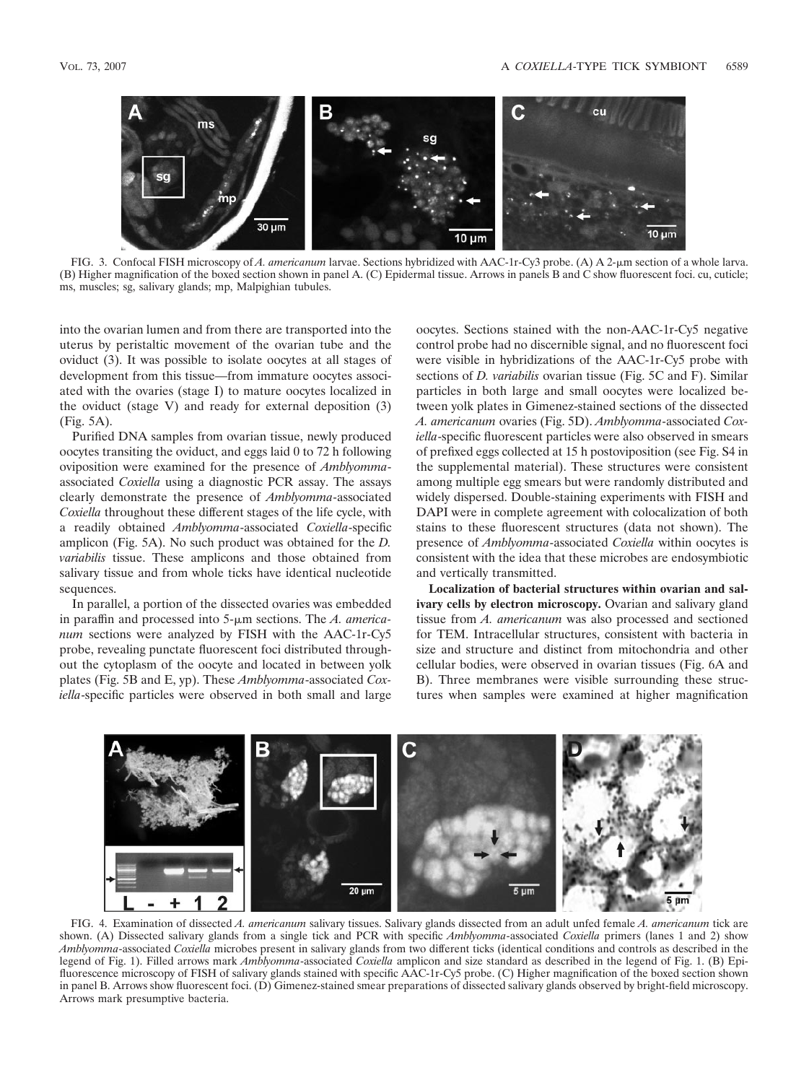

FIG. 3. Confocal FISH microscopy of *A. americanum* larvae. Sections hybridized with AAC-1r-Cy3 probe. (A) A 2-µm section of a whole larva. (B) Higher magnification of the boxed section shown in panel A. (C) Epidermal tissue. Arrows in panels B and C show fluorescent foci. cu, cuticle; ms, muscles; sg, salivary glands; mp, Malpighian tubules.

into the ovarian lumen and from there are transported into the uterus by peristaltic movement of the ovarian tube and the oviduct (3). It was possible to isolate oocytes at all stages of development from this tissue—from immature oocytes associated with the ovaries (stage I) to mature oocytes localized in the oviduct (stage V) and ready for external deposition (3) (Fig. 5A).

Purified DNA samples from ovarian tissue, newly produced oocytes transiting the oviduct, and eggs laid 0 to 72 h following oviposition were examined for the presence of *Amblyomma*associated *Coxiella* using a diagnostic PCR assay. The assays clearly demonstrate the presence of *Amblyomma*-associated *Coxiella* throughout these different stages of the life cycle, with a readily obtained *Amblyomma*-associated *Coxiella*-specific amplicon (Fig. 5A). No such product was obtained for the *D. variabilis* tissue. These amplicons and those obtained from salivary tissue and from whole ticks have identical nucleotide sequences.

In parallel, a portion of the dissected ovaries was embedded in paraffin and processed into 5- $\mu$ m sections. The *A. americanum* sections were analyzed by FISH with the AAC-1r-Cy5 probe, revealing punctate fluorescent foci distributed throughout the cytoplasm of the oocyte and located in between yolk plates (Fig. 5B and E, yp). These *Amblyomma*-associated *Coxiella*-specific particles were observed in both small and large oocytes. Sections stained with the non-AAC-1r-Cy5 negative control probe had no discernible signal, and no fluorescent foci were visible in hybridizations of the AAC-1r-Cy5 probe with sections of *D. variabilis* ovarian tissue (Fig. 5C and F). Similar particles in both large and small oocytes were localized between yolk plates in Gimenez-stained sections of the dissected *A. americanum* ovaries (Fig. 5D). *Amblyomma*-associated *Coxiella*-specific fluorescent particles were also observed in smears of prefixed eggs collected at 15 h postoviposition (see Fig. S4 in the supplemental material). These structures were consistent among multiple egg smears but were randomly distributed and widely dispersed. Double-staining experiments with FISH and DAPI were in complete agreement with colocalization of both stains to these fluorescent structures (data not shown). The presence of *Amblyomma*-associated *Coxiella* within oocytes is consistent with the idea that these microbes are endosymbiotic and vertically transmitted.

**Localization of bacterial structures within ovarian and salivary cells by electron microscopy.** Ovarian and salivary gland tissue from *A. americanum* was also processed and sectioned for TEM. Intracellular structures, consistent with bacteria in size and structure and distinct from mitochondria and other cellular bodies, were observed in ovarian tissues (Fig. 6A and B). Three membranes were visible surrounding these structures when samples were examined at higher magnification



FIG. 4. Examination of dissected *A. americanum* salivary tissues. Salivary glands dissected from an adult unfed female *A. americanum* tick are shown. (A) Dissected salivary glands from a single tick and PCR with specific *Amblyomma*-associated *Coxiella* primers (lanes 1 and 2) show *Amblyomma*-associated *Coxiella* microbes present in salivary glands from two different ticks (identical conditions and controls as described in the legend of Fig. 1). Filled arrows mark *Amblyomma*-associated *Coxiella* amplicon and size standard as described in the legend of Fig. 1. (B) Epifluorescence microscopy of FISH of salivary glands stained with specific AAC-1r-Cy5 probe. (C) Higher magnification of the boxed section shown in panel B. Arrows show fluorescent foci. (D) Gimenez-stained smear preparations of dissected salivary glands observed by bright-field microscopy. Arrows mark presumptive bacteria.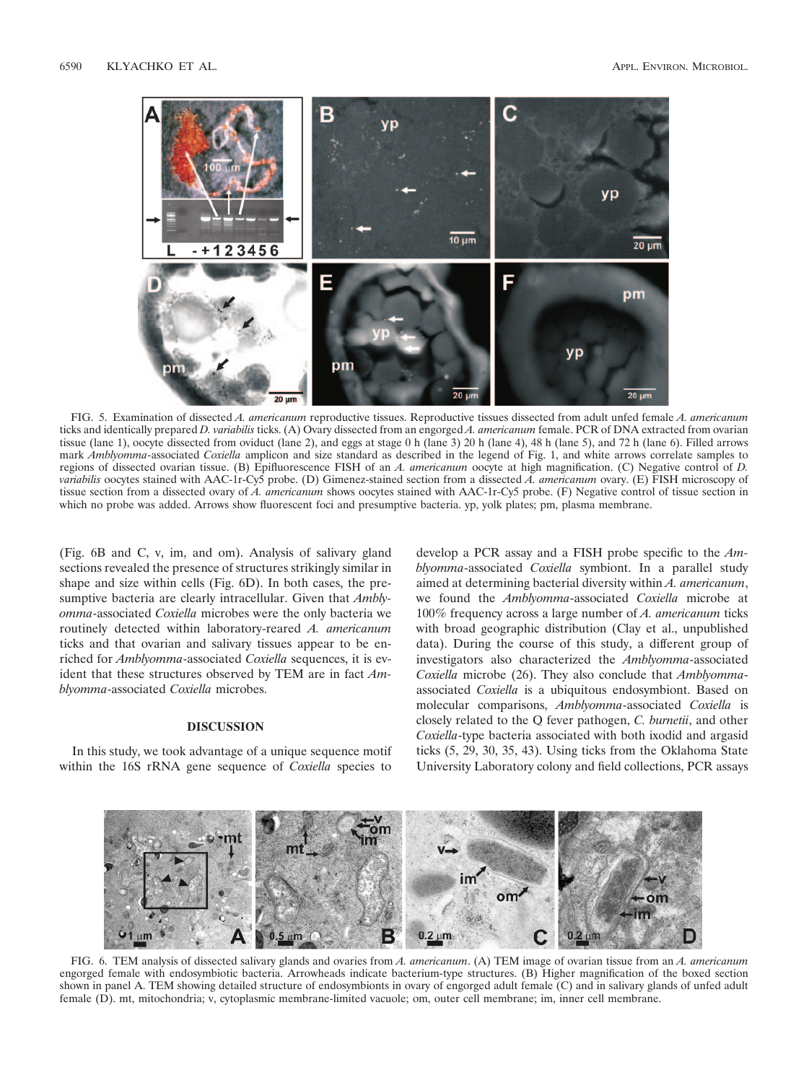

FIG. 5. Examination of dissected *A. americanum* reproductive tissues. Reproductive tissues dissected from adult unfed female *A. americanum* ticks and identically prepared *D. variabilis* ticks. (A) Ovary dissected from an engorged *A. americanum* female. PCR of DNA extracted from ovarian tissue (lane 1), oocyte dissected from oviduct (lane 2), and eggs at stage 0 h (lane 3) 20 h (lane 4), 48 h (lane 5), and 72 h (lane 6). Filled arrows mark *Amblyomma*-associated *Coxiella* amplicon and size standard as described in the legend of Fig. 1, and white arrows correlate samples to regions of dissected ovarian tissue. (B) Epifluorescence FISH of an *A. americanum* oocyte at high magnification. (C) Negative control of *D. variabilis* oocytes stained with AAC-1r-Cy5 probe. (D) Gimenez-stained section from a dissected *A. americanum* ovary. (E) FISH microscopy of tissue section from a dissected ovary of *A. americanum* shows oocytes stained with AAC-1r-Cy5 probe. (F) Negative control of tissue section in which no probe was added. Arrows show fluorescent foci and presumptive bacteria. yp, yolk plates; pm, plasma membrane.

(Fig. 6B and C, v, im, and om). Analysis of salivary gland sections revealed the presence of structures strikingly similar in shape and size within cells (Fig. 6D). In both cases, the presumptive bacteria are clearly intracellular. Given that *Amblyomma*-associated *Coxiella* microbes were the only bacteria we routinely detected within laboratory-reared *A. americanum* ticks and that ovarian and salivary tissues appear to be enriched for *Amblyomma*-associated *Coxiella* sequences, it is evident that these structures observed by TEM are in fact *Amblyomma*-associated *Coxiella* microbes.

## **DISCUSSION**

In this study, we took advantage of a unique sequence motif within the 16S rRNA gene sequence of *Coxiella* species to

develop a PCR assay and a FISH probe specific to the *Amblyomma*-associated *Coxiella* symbiont. In a parallel study aimed at determining bacterial diversity within *A. americanum*, we found the *Amblyomma*-associated *Coxiella* microbe at 100% frequency across a large number of *A. americanum* ticks with broad geographic distribution (Clay et al., unpublished data). During the course of this study, a different group of investigators also characterized the *Amblyomma*-associated *Coxiella* microbe (26). They also conclude that *Amblyomma*associated *Coxiella* is a ubiquitous endosymbiont. Based on molecular comparisons, *Amblyomma*-associated *Coxiella* is closely related to the Q fever pathogen, *C. burnetii*, and other *Coxiella*-type bacteria associated with both ixodid and argasid ticks (5, 29, 30, 35, 43). Using ticks from the Oklahoma State University Laboratory colony and field collections, PCR assays



FIG. 6. TEM analysis of dissected salivary glands and ovaries from *A. americanum*. (A) TEM image of ovarian tissue from an *A. americanum* engorged female with endosymbiotic bacteria. Arrowheads indicate bacterium-type structures. (B) Higher magnification of the boxed section shown in panel A. TEM showing detailed structure of endosymbionts in ovary of engorged adult female (C) and in salivary glands of unfed adult female (D). mt, mitochondria; v, cytoplasmic membrane-limited vacuole; om, outer cell membrane; im, inner cell membrane.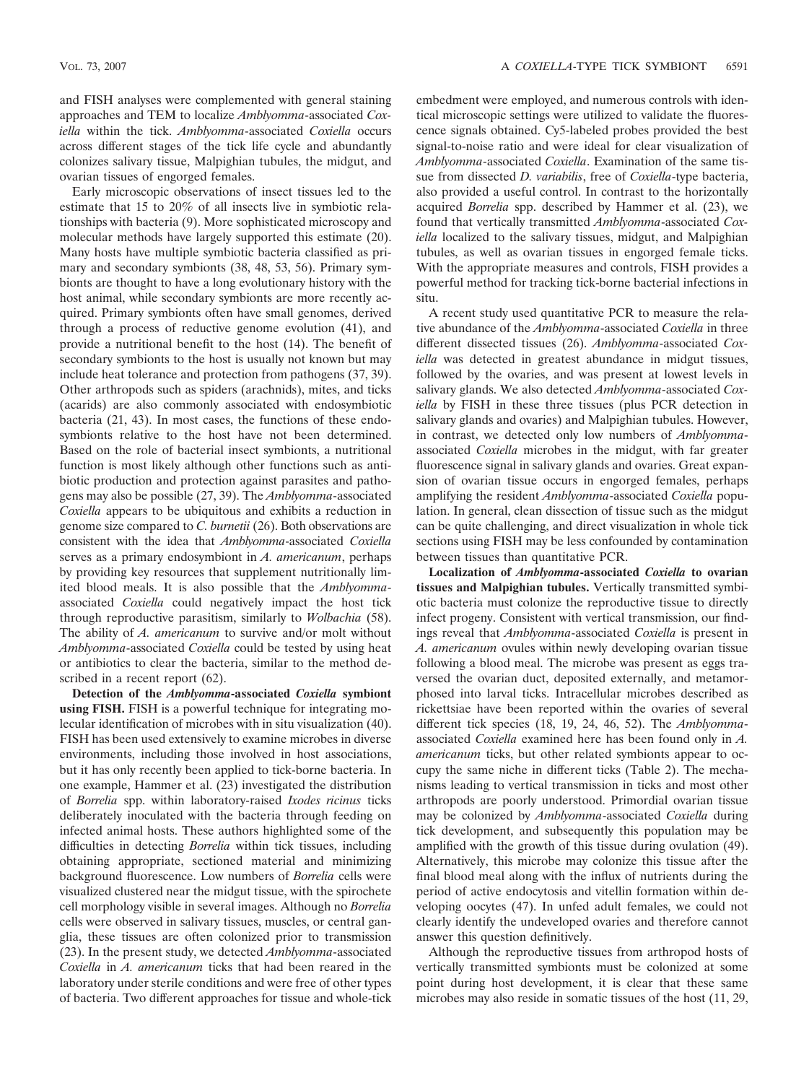and FISH analyses were complemented with general staining approaches and TEM to localize *Amblyomma*-associated *Coxiella* within the tick. *Amblyomma*-associated *Coxiella* occurs across different stages of the tick life cycle and abundantly colonizes salivary tissue, Malpighian tubules, the midgut, and ovarian tissues of engorged females.

Early microscopic observations of insect tissues led to the estimate that 15 to 20% of all insects live in symbiotic relationships with bacteria (9). More sophisticated microscopy and molecular methods have largely supported this estimate (20). Many hosts have multiple symbiotic bacteria classified as primary and secondary symbionts (38, 48, 53, 56). Primary symbionts are thought to have a long evolutionary history with the host animal, while secondary symbionts are more recently acquired. Primary symbionts often have small genomes, derived through a process of reductive genome evolution (41), and provide a nutritional benefit to the host (14). The benefit of secondary symbionts to the host is usually not known but may include heat tolerance and protection from pathogens (37, 39). Other arthropods such as spiders (arachnids), mites, and ticks (acarids) are also commonly associated with endosymbiotic bacteria (21, 43). In most cases, the functions of these endosymbionts relative to the host have not been determined. Based on the role of bacterial insect symbionts, a nutritional function is most likely although other functions such as antibiotic production and protection against parasites and pathogens may also be possible (27, 39). The *Amblyomma*-associated *Coxiella* appears to be ubiquitous and exhibits a reduction in genome size compared to *C. burnetii* (26). Both observations are consistent with the idea that *Amblyomma*-associated *Coxiella* serves as a primary endosymbiont in *A. americanum*, perhaps by providing key resources that supplement nutritionally limited blood meals. It is also possible that the *Amblyomma*associated *Coxiella* could negatively impact the host tick through reproductive parasitism, similarly to *Wolbachia* (58). The ability of *A. americanum* to survive and/or molt without *Amblyomma*-associated *Coxiella* could be tested by using heat or antibiotics to clear the bacteria, similar to the method described in a recent report  $(62)$ .

**Detection of the** *Amblyomma***-associated** *Coxiella* **symbiont using FISH.** FISH is a powerful technique for integrating molecular identification of microbes with in situ visualization (40). FISH has been used extensively to examine microbes in diverse environments, including those involved in host associations, but it has only recently been applied to tick-borne bacteria. In one example, Hammer et al. (23) investigated the distribution of *Borrelia* spp. within laboratory-raised *Ixodes ricinus* ticks deliberately inoculated with the bacteria through feeding on infected animal hosts. These authors highlighted some of the difficulties in detecting *Borrelia* within tick tissues, including obtaining appropriate, sectioned material and minimizing background fluorescence. Low numbers of *Borrelia* cells were visualized clustered near the midgut tissue, with the spirochete cell morphology visible in several images. Although no *Borrelia* cells were observed in salivary tissues, muscles, or central ganglia, these tissues are often colonized prior to transmission (23). In the present study, we detected *Amblyomma*-associated *Coxiella* in *A. americanum* ticks that had been reared in the laboratory under sterile conditions and were free of other types of bacteria. Two different approaches for tissue and whole-tick

embedment were employed, and numerous controls with identical microscopic settings were utilized to validate the fluorescence signals obtained. Cy5-labeled probes provided the best signal-to-noise ratio and were ideal for clear visualization of *Amblyomma*-associated *Coxiella*. Examination of the same tissue from dissected *D. variabilis*, free of *Coxiella*-type bacteria, also provided a useful control. In contrast to the horizontally acquired *Borrelia* spp. described by Hammer et al. (23), we found that vertically transmitted *Amblyomma*-associated *Coxiella* localized to the salivary tissues, midgut, and Malpighian tubules, as well as ovarian tissues in engorged female ticks. With the appropriate measures and controls, FISH provides a powerful method for tracking tick-borne bacterial infections in situ.

A recent study used quantitative PCR to measure the relative abundance of the *Amblyomma*-associated *Coxiella* in three different dissected tissues (26). *Amblyomma*-associated *Coxiella* was detected in greatest abundance in midgut tissues, followed by the ovaries, and was present at lowest levels in salivary glands. We also detected *Amblyomma*-associated *Coxiella* by FISH in these three tissues (plus PCR detection in salivary glands and ovaries) and Malpighian tubules. However, in contrast, we detected only low numbers of *Amblyomma*associated *Coxiella* microbes in the midgut, with far greater fluorescence signal in salivary glands and ovaries. Great expansion of ovarian tissue occurs in engorged females, perhaps amplifying the resident *Amblyomma*-associated *Coxiella* population. In general, clean dissection of tissue such as the midgut can be quite challenging, and direct visualization in whole tick sections using FISH may be less confounded by contamination between tissues than quantitative PCR.

**Localization of** *Amblyomma***-associated** *Coxiella* **to ovarian tissues and Malpighian tubules.** Vertically transmitted symbiotic bacteria must colonize the reproductive tissue to directly infect progeny. Consistent with vertical transmission, our findings reveal that *Amblyomma*-associated *Coxiella* is present in *A. americanum* ovules within newly developing ovarian tissue following a blood meal. The microbe was present as eggs traversed the ovarian duct, deposited externally, and metamorphosed into larval ticks. Intracellular microbes described as rickettsiae have been reported within the ovaries of several different tick species (18, 19, 24, 46, 52). The *Amblyomma*associated *Coxiella* examined here has been found only in *A. americanum* ticks, but other related symbionts appear to occupy the same niche in different ticks (Table 2). The mechanisms leading to vertical transmission in ticks and most other arthropods are poorly understood. Primordial ovarian tissue may be colonized by *Amblyomma*-associated *Coxiella* during tick development, and subsequently this population may be amplified with the growth of this tissue during ovulation (49). Alternatively, this microbe may colonize this tissue after the final blood meal along with the influx of nutrients during the period of active endocytosis and vitellin formation within developing oocytes (47). In unfed adult females, we could not clearly identify the undeveloped ovaries and therefore cannot answer this question definitively.

Although the reproductive tissues from arthropod hosts of vertically transmitted symbionts must be colonized at some point during host development, it is clear that these same microbes may also reside in somatic tissues of the host (11, 29,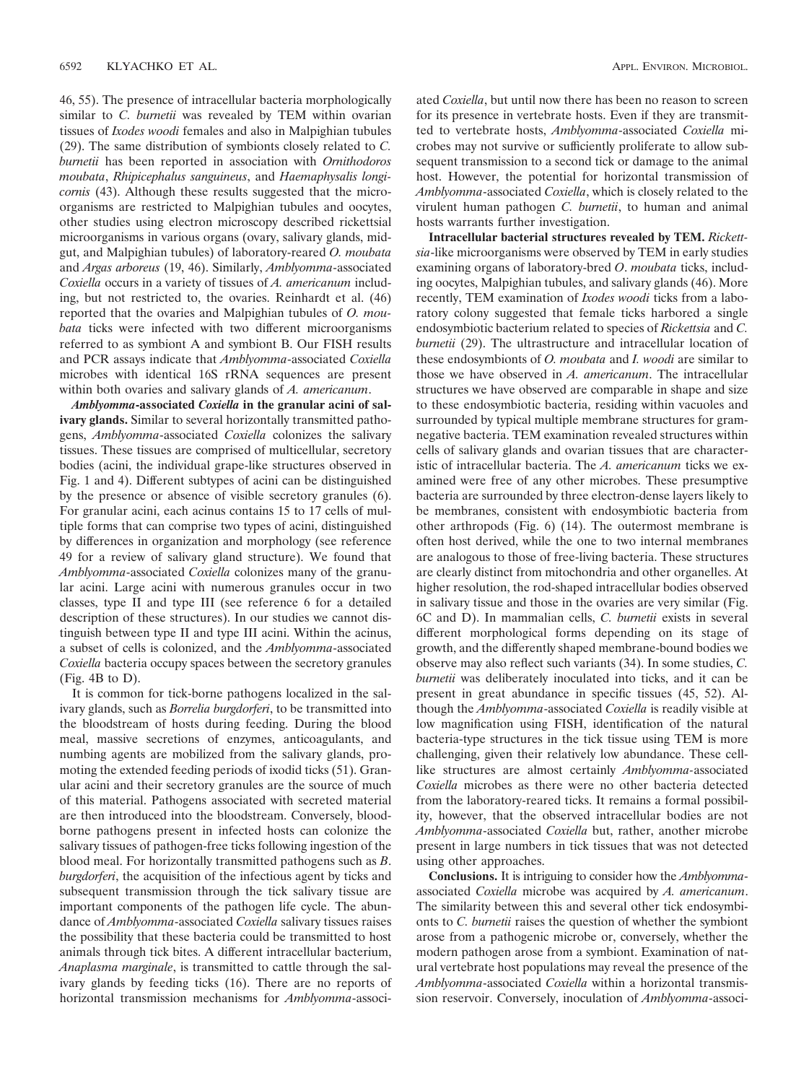46, 55). The presence of intracellular bacteria morphologically similar to *C. burnetii* was revealed by TEM within ovarian tissues of *Ixodes woodi* females and also in Malpighian tubules (29). The same distribution of symbionts closely related to *C. burnetii* has been reported in association with *Ornithodoros moubata*, *Rhipicephalus sanguineus*, and *Haemaphysalis longicornis* (43). Although these results suggested that the microorganisms are restricted to Malpighian tubules and oocytes, other studies using electron microscopy described rickettsial microorganisms in various organs (ovary, salivary glands, midgut, and Malpighian tubules) of laboratory-reared *O. moubata* and *Argas arboreus* (19, 46). Similarly, *Amblyomma*-associated *Coxiella* occurs in a variety of tissues of *A. americanum* including, but not restricted to, the ovaries. Reinhardt et al. (46) reported that the ovaries and Malpighian tubules of *O. moubata* ticks were infected with two different microorganisms referred to as symbiont A and symbiont B. Our FISH results and PCR assays indicate that *Amblyomma*-associated *Coxiella* microbes with identical 16S rRNA sequences are present within both ovaries and salivary glands of *A. americanum*.

*Amblyomma***-associated** *Coxiella* **in the granular acini of salivary glands.** Similar to several horizontally transmitted pathogens, *Amblyomma*-associated *Coxiella* colonizes the salivary tissues. These tissues are comprised of multicellular, secretory bodies (acini, the individual grape-like structures observed in Fig. 1 and 4). Different subtypes of acini can be distinguished by the presence or absence of visible secretory granules (6). For granular acini, each acinus contains 15 to 17 cells of multiple forms that can comprise two types of acini, distinguished by differences in organization and morphology (see reference 49 for a review of salivary gland structure). We found that *Amblyomma*-associated *Coxiella* colonizes many of the granular acini. Large acini with numerous granules occur in two classes, type II and type III (see reference 6 for a detailed description of these structures). In our studies we cannot distinguish between type II and type III acini. Within the acinus, a subset of cells is colonized, and the *Amblyomma*-associated *Coxiella* bacteria occupy spaces between the secretory granules (Fig. 4B to D).

It is common for tick-borne pathogens localized in the salivary glands, such as *Borrelia burgdorferi*, to be transmitted into the bloodstream of hosts during feeding. During the blood meal, massive secretions of enzymes, anticoagulants, and numbing agents are mobilized from the salivary glands, promoting the extended feeding periods of ixodid ticks (51). Granular acini and their secretory granules are the source of much of this material. Pathogens associated with secreted material are then introduced into the bloodstream. Conversely, bloodborne pathogens present in infected hosts can colonize the salivary tissues of pathogen-free ticks following ingestion of the blood meal. For horizontally transmitted pathogens such as *B*. *burgdorferi*, the acquisition of the infectious agent by ticks and subsequent transmission through the tick salivary tissue are important components of the pathogen life cycle. The abundance of *Amblyomma*-associated *Coxiella* salivary tissues raises the possibility that these bacteria could be transmitted to host animals through tick bites. A different intracellular bacterium, *Anaplasma marginale*, is transmitted to cattle through the salivary glands by feeding ticks (16). There are no reports of horizontal transmission mechanisms for *Amblyomma*-associated *Coxiella*, but until now there has been no reason to screen for its presence in vertebrate hosts. Even if they are transmitted to vertebrate hosts, *Amblyomma*-associated *Coxiella* microbes may not survive or sufficiently proliferate to allow subsequent transmission to a second tick or damage to the animal host. However, the potential for horizontal transmission of *Amblyomma*-associated *Coxiella*, which is closely related to the virulent human pathogen *C. burnetii*, to human and animal hosts warrants further investigation.

**Intracellular bacterial structures revealed by TEM.** *Rickettsia*-like microorganisms were observed by TEM in early studies examining organs of laboratory-bred *O*. *moubata* ticks, including oocytes, Malpighian tubules, and salivary glands (46). More recently, TEM examination of *Ixodes woodi* ticks from a laboratory colony suggested that female ticks harbored a single endosymbiotic bacterium related to species of *Rickettsia* and *C. burnetii* (29). The ultrastructure and intracellular location of these endosymbionts of *O. moubata* and *I. woodi* are similar to those we have observed in *A. americanum*. The intracellular structures we have observed are comparable in shape and size to these endosymbiotic bacteria, residing within vacuoles and surrounded by typical multiple membrane structures for gramnegative bacteria. TEM examination revealed structures within cells of salivary glands and ovarian tissues that are characteristic of intracellular bacteria. The *A. americanum* ticks we examined were free of any other microbes. These presumptive bacteria are surrounded by three electron-dense layers likely to be membranes, consistent with endosymbiotic bacteria from other arthropods (Fig. 6) (14). The outermost membrane is often host derived, while the one to two internal membranes are analogous to those of free-living bacteria. These structures are clearly distinct from mitochondria and other organelles. At higher resolution, the rod-shaped intracellular bodies observed in salivary tissue and those in the ovaries are very similar (Fig. 6C and D). In mammalian cells, *C. burnetii* exists in several different morphological forms depending on its stage of growth, and the differently shaped membrane-bound bodies we observe may also reflect such variants (34). In some studies, *C. burnetii* was deliberately inoculated into ticks, and it can be present in great abundance in specific tissues (45, 52). Although the *Amblyomma*-associated *Coxiella* is readily visible at low magnification using FISH, identification of the natural bacteria-type structures in the tick tissue using TEM is more challenging, given their relatively low abundance. These celllike structures are almost certainly *Amblyomma-*associated *Coxiella* microbes as there were no other bacteria detected from the laboratory-reared ticks. It remains a formal possibility, however, that the observed intracellular bodies are not *Amblyomma*-associated *Coxiella* but, rather, another microbe present in large numbers in tick tissues that was not detected using other approaches.

**Conclusions.** It is intriguing to consider how the *Amblyomma*associated *Coxiella* microbe was acquired by *A. americanum*. The similarity between this and several other tick endosymbionts to *C. burnetii* raises the question of whether the symbiont arose from a pathogenic microbe or, conversely, whether the modern pathogen arose from a symbiont. Examination of natural vertebrate host populations may reveal the presence of the *Amblyomma*-associated *Coxiella* within a horizontal transmission reservoir. Conversely, inoculation of *Amblyomma*-associ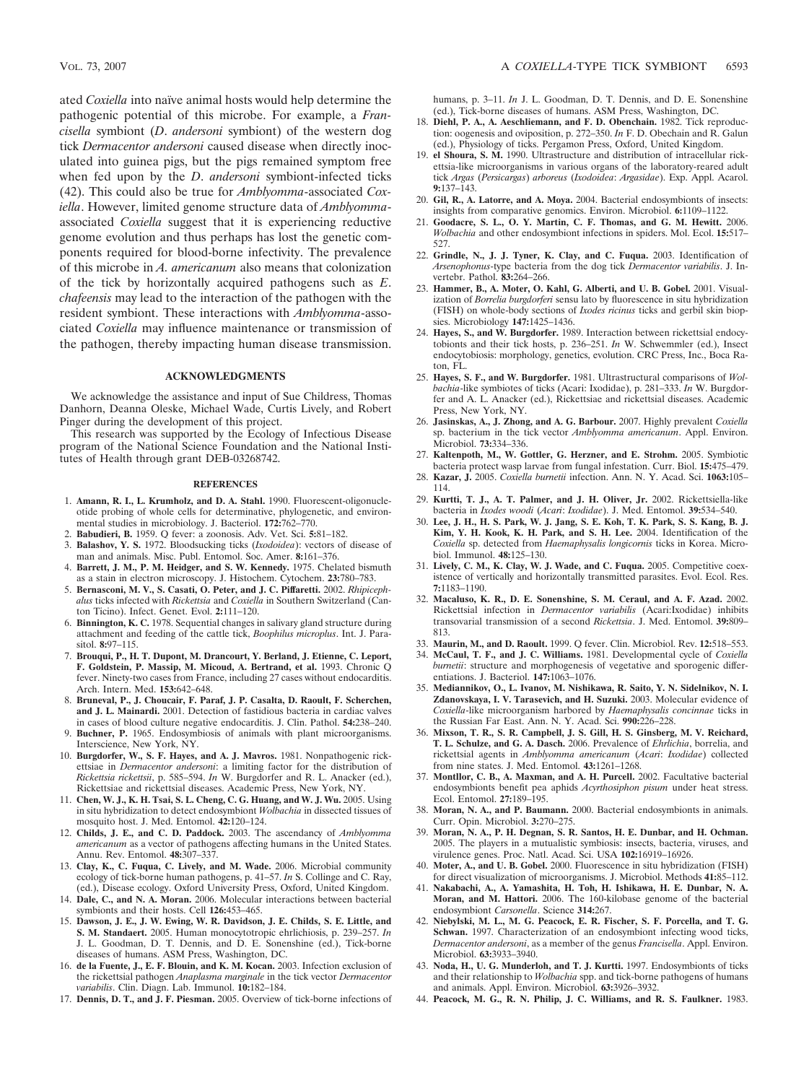ated *Coxiella* into naïve animal hosts would help determine the pathogenic potential of this microbe. For example, a *Francisella* symbiont (*D*. *andersoni* symbiont) of the western dog tick *Dermacentor andersoni* caused disease when directly inoculated into guinea pigs, but the pigs remained symptom free when fed upon by the *D*. *andersoni* symbiont-infected ticks (42). This could also be true for *Amblyomma*-associated *Coxiella*. However, limited genome structure data of *Amblyomma*associated *Coxiella* suggest that it is experiencing reductive genome evolution and thus perhaps has lost the genetic components required for blood-borne infectivity. The prevalence of this microbe in *A. americanum* also means that colonization of the tick by horizontally acquired pathogens such as *E*. *chafeensis* may lead to the interaction of the pathogen with the resident symbiont. These interactions with *Amblyomma*-associated *Coxiella* may influence maintenance or transmission of the pathogen, thereby impacting human disease transmission.

#### **ACKNOWLEDGMENTS**

We acknowledge the assistance and input of Sue Childress, Thomas Danhorn, Deanna Oleske, Michael Wade, Curtis Lively, and Robert Pinger during the development of this project.

This research was supported by the Ecology of Infectious Disease program of the National Science Foundation and the National Institutes of Health through grant DEB-03268742.

### **REFERENCES**

- 1. **Amann, R. I., L. Krumholz, and D. A. Stahl.** 1990. Fluorescent-oligonucleotide probing of whole cells for determinative, phylogenetic, and environmental studies in microbiology. J. Bacteriol. **172:**762–770.
- 2. **Babudieri, B.** 1959. Q fever: a zoonosis. Adv. Vet. Sci. **5:**81–182.
- 3. **Balashov, Y. S.** 1972. Bloodsucking ticks (*Ixodoidea*): vectors of disease of man and animals. Misc. Publ. Entomol. Soc. Amer. **8:**161–376.
- 4. **Barrett, J. M., P. M. Heidger, and S. W. Kennedy.** 1975. Chelated bismuth as a stain in electron microscopy. J. Histochem. Cytochem. **23:**780–783.
- 5. **Bernasconi, M. V., S. Casati, O. Peter, and J. C. Piffaretti.** 2002. *Rhipicephalus* ticks infected with *Rickettsia* and *Coxiella* in Southern Switzerland (Canton Ticino). Infect. Genet. Evol. **2:**111–120.
- 6. **Binnington, K. C.** 1978. Sequential changes in salivary gland structure during attachment and feeding of the cattle tick, *Boophilus microplus*. Int. J. Parasitol. **8:**97–115.
- 7. **Brouqui, P., H. T. Dupont, M. Drancourt, Y. Berland, J. Etienne, C. Leport, F. Goldstein, P. Massip, M. Micoud, A. Bertrand, et al.** 1993. Chronic Q fever. Ninety-two cases from France, including 27 cases without endocarditis. Arch. Intern. Med. **153:**642–648.
- 8. **Bruneval, P., J. Choucair, F. Paraf, J. P. Casalta, D. Raoult, F. Scherchen, and J. L. Mainardi.** 2001. Detection of fastidious bacteria in cardiac valves in cases of blood culture negative endocarditis. J. Clin. Pathol. **54:**238–240.
- 9. **Buchner, P.** 1965. Endosymbiosis of animals with plant microorganisms. Interscience, New York, NY.
- 10. **Burgdorfer, W., S. F. Hayes, and A. J. Mavros.** 1981. Nonpathogenic rickettsiae in *Dermacentor andersoni*: a limiting factor for the distribution of *Rickettsia rickettsii*, p. 585–594. *In* W. Burgdorfer and R. L. Anacker (ed.), Rickettsiae and rickettsial diseases. Academic Press, New York, NY.
- 11. **Chen, W. J., K. H. Tsai, S. L. Cheng, C. G. Huang, and W. J. Wu.** 2005. Using in situ hybridization to detect endosymbiont *Wolbachia* in dissected tissues of mosquito host. J. Med. Entomol. **42:**120–124.
- 12. **Childs, J. E., and C. D. Paddock.** 2003. The ascendancy of *Amblyomma americanum* as a vector of pathogens affecting humans in the United States. Annu. Rev. Entomol. **48:**307–337.
- 13. **Clay, K., C. Fuqua, C. Lively, and M. Wade.** 2006. Microbial community ecology of tick-borne human pathogens, p. 41–57. *In* S. Collinge and C. Ray, (ed.), Disease ecology. Oxford University Press, Oxford, United Kingdom.
- 14. **Dale, C., and N. A. Moran.** 2006. Molecular interactions between bacterial symbionts and their hosts. Cell **126:**453–465.
- 15. **Dawson, J. E., J. W. Ewing, W. R. Davidson, J. E. Childs, S. E. Little, and S. M. Standaert.** 2005. Human monocytotropic ehrlichiosis, p. 239–257. *In* J. L. Goodman, D. T. Dennis, and D. E. Sonenshine (ed.), Tick-borne diseases of humans. ASM Press, Washington, DC.
- 16. **de la Fuente, J., E. F. Blouin, and K. M. Kocan.** 2003. Infection exclusion of the rickettsial pathogen *Anaplasma marginale* in the tick vector *Dermacentor variabilis*. Clin. Diagn. Lab. Immunol. **10:**182–184.
- 17. **Dennis, D. T., and J. F. Piesman.** 2005. Overview of tick-borne infections of

humans, p. 3-11. *In* J. L. Goodman, D. T. Dennis, and D. E. Sonenshine (ed.), Tick-borne diseases of humans. ASM Press, Washington, DC.

- 18. **Diehl, P. A., A. Aeschliemann, and F. D. Obenchain.** 1982. Tick reproduction: oogenesis and oviposition, p. 272–350. *In* F. D. Obechain and R. Galun (ed.), Physiology of ticks. Pergamon Press, Oxford, United Kingdom.
- 19. **el Shoura, S. M.** 1990. Ultrastructure and distribution of intracellular rickettsia-like microorganisms in various organs of the laboratory-reared adult tick *Argas* (*Persicargas*) *arboreus* (*Ixodoidea*: *Argasidae*). Exp. Appl. Acarol. **9:**137–143.
- 20. **Gil, R., A. Latorre, and A. Moya.** 2004. Bacterial endosymbionts of insects: insights from comparative genomics. Environ. Microbiol. **6:**1109–1122.
- 21. **Goodacre, S. L., O. Y. Martin, C. F. Thomas, and G. M. Hewitt.** 2006. *Wolbachia* and other endosymbiont infections in spiders. Mol. Ecol. **15:**517– 527.
- 22. **Grindle, N., J. J. Tyner, K. Clay, and C. Fuqua.** 2003. Identification of *Arsenophonus*-type bacteria from the dog tick *Dermacentor variabilis*. J. Invertebr. Pathol. **83:**264–266.
- 23. **Hammer, B., A. Moter, O. Kahl, G. Alberti, and U. B. Gobel.** 2001. Visualization of *Borrelia burgdorferi* sensu lato by fluorescence in situ hybridization (FISH) on whole-body sections of *Ixodes ricinus* ticks and gerbil skin biopsies. Microbiology **147:**1425–1436.
- 24. **Hayes, S., and W. Burgdorfer.** 1989. Interaction between rickettsial endocytobionts and their tick hosts, p. 236–251. *In* W. Schwemmler (ed.), Insect endocytobiosis: morphology, genetics, evolution. CRC Press, Inc., Boca Raton, FL.
- 25. **Hayes, S. F., and W. Burgdorfer.** 1981. Ultrastructural comparisons of *Wolbachia*-like symbiotes of ticks (Acari: Ixodidae), p. 281–333. *In* W. Burgdorfer and A. L. Anacker (ed.), Rickettsiae and rickettsial diseases. Academic Press, New York, NY.
- 26. **Jasinskas, A., J. Zhong, and A. G. Barbour.** 2007. Highly prevalent *Coxiella* sp. bacterium in the tick vector *Amblyomma americanum*. Appl. Environ. Microbiol. **73:**334–336.
- 27. **Kaltenpoth, M., W. Gottler, G. Herzner, and E. Strohm.** 2005. Symbiotic bacteria protect wasp larvae from fungal infestation. Curr. Biol. **15:**475–479.
- 28. **Kazar, J.** 2005. *Coxiella burnetii* infection. Ann. N. Y. Acad. Sci. **1063:**105– 114.
- 29. **Kurtti, T. J., A. T. Palmer, and J. H. Oliver, Jr.** 2002. Rickettsiella-like bacteria in *Ixodes woodi* (*Acari*: *Ixodidae*). J. Med. Entomol. **39:**534–540.
- 30. **Lee, J. H., H. S. Park, W. J. Jang, S. E. Koh, T. K. Park, S. S. Kang, B. J. Kim, Y. H. Kook, K. H. Park, and S. H. Lee.** 2004. Identification of the *Coxiella* sp. detected from *Haemaphysalis longicornis* ticks in Korea. Microbiol. Immunol. **48:**125–130.
- 31. **Lively, C. M., K. Clay, W. J. Wade, and C. Fuqua.** 2005. Competitive coexistence of vertically and horizontally transmitted parasites. Evol. Ecol. Res. **7:**1183–1190.
- 32. **Macaluso, K. R., D. E. Sonenshine, S. M. Ceraul, and A. F. Azad.** 2002. Rickettsial infection in *Dermacentor variabilis* (Acari:Ixodidae) inhibits transovarial transmission of a second *Rickettsia*. J. Med. Entomol. **39:**809– 813.
- 33. **Maurin, M., and D. Raoult.** 1999. Q fever. Clin. Microbiol. Rev. **12:**518–553.
- 34. **McCaul, T. F., and J. C. Williams.** 1981. Developmental cycle of *Coxiella burnetii*: structure and morphogenesis of vegetative and sporogenic differentiations. J. Bacteriol. **147:**1063–1076.
- 35. **Mediannikov, O., L. Ivanov, M. Nishikawa, R. Saito, Y. N. Sidelnikov, N. I. Zdanovskaya, I. V. Tarasevich, and H. Suzuki.** 2003. Molecular evidence of *Coxiella*-like microorganism harbored by *Haemaphysalis concinnae* ticks in the Russian Far East. Ann. N. Y. Acad. Sci. **990:**226–228.
- 36. **Mixson, T. R., S. R. Campbell, J. S. Gill, H. S. Ginsberg, M. V. Reichard, T. L. Schulze, and G. A. Dasch.** 2006. Prevalence of *Ehrlichia*, borrelia, and rickettsial agents in *Amblyomma americanum* (*Acari*: *Ixodidae*) collected from nine states. J. Med. Entomol. **43:**1261–1268.
- 37. **Montllor, C. B., A. Maxman, and A. H. Purcell.** 2002. Facultative bacterial endosymbionts benefit pea aphids *Acyrthosiphon pisum* under heat stress. Ecol. Entomol. **27:**189–195.
- 38. **Moran, N. A., and P. Baumann.** 2000. Bacterial endosymbionts in animals. Curr. Opin. Microbiol. **3:**270–275.
- 39. **Moran, N. A., P. H. Degnan, S. R. Santos, H. E. Dunbar, and H. Ochman.** 2005. The players in a mutualistic symbiosis: insects, bacteria, viruses, and virulence genes. Proc. Natl. Acad. Sci. USA **102:**16919–16926.
- 40. **Moter, A., and U. B. Gobel.** 2000. Fluorescence in situ hybridization (FISH) for direct visualization of microorganisms. J. Microbiol. Methods **41:**85–112.
- 41. **Nakabachi, A., A. Yamashita, H. Toh, H. Ishikawa, H. E. Dunbar, N. A. Moran, and M. Hattori.** 2006. The 160-kilobase genome of the bacterial endosymbiont *Carsonella*. Science **314:**267.
- 42. **Niebylski, M. L., M. G. Peacock, E. R. Fischer, S. F. Porcella, and T. G. Schwan.** 1997. Characterization of an endosymbiont infecting wood ticks, *Dermacentor andersoni*, as a member of the genus *Francisella*. Appl. Environ. Microbiol. **63:**3933–3940.
- 43. **Noda, H., U. G. Munderloh, and T. J. Kurtti.** 1997. Endosymbionts of ticks and their relationship to *Wolbachia* spp. and tick-borne pathogens of humans and animals. Appl. Environ. Microbiol. **63:**3926–3932.
- 44. **Peacock, M. G., R. N. Philip, J. C. Williams, and R. S. Faulkner.** 1983.